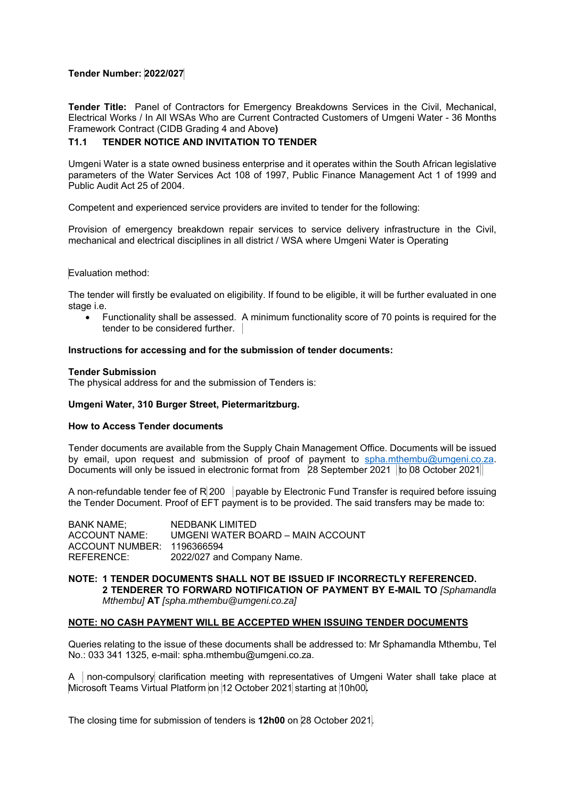# **Tender Number: 2022/027**

**Tender Title:** Panel of Contractors for Emergency Breakdowns Services in the Civil, Mechanical, Electrical Works / In All WSAs Who are Current Contracted Customers of Umgeni Water - 36 Months Framework Contract (CIDB Grading 4 and Above**)**

## **T1.1 TENDER NOTICE AND INVITATION TO TENDER**

Umgeni Water is a state owned business enterprise and it operates within the South African legislative parameters of the Water Services Act 108 of 1997, Public Finance Management Act 1 of 1999 and Public Audit Act 25 of 2004.

Competent and experienced service providers are invited to tender for the following:

Provision of emergency breakdown repair services to service delivery infrastructure in the Civil, mechanical and electrical disciplines in all district / WSA where Umgeni Water is Operating

#### Evaluation method:

The tender will firstly be evaluated on eligibility. If found to be eligible, it will be further evaluated in one stage i.e.

 Functionality shall be assessed. A minimum functionality score of 70 points is required for the tender to be considered further.

## **Instructions for accessing and for the submission of tender documents:**

#### **Tender Submission**

The physical address for and the submission of Tenders is:

## **Umgeni Water, 310 Burger Street, Pietermaritzburg.**

#### **How to Access Tender documents**

Tender documents are available from the Supply Chain Management Office. Documents will be issued by email, upon request and submission of proof of payment to spha.mthembu@umgeni.co.za. Documents will only be issued in electronic format from 28 September 2021 to 08 October 2021

A non-refundable tender fee of  $R$  200 | payable by Electronic Fund Transfer is required before issuing the Tender Document. Proof of EFT payment is to be provided. The said transfers may be made to:

| NEDBANK LIMITED                   |
|-----------------------------------|
| UMGENI WATER BOARD – MAIN ACCOUNT |
| ACCOUNT NUMBER: 1196366594        |
| 2022/027 and Company Name.        |
|                                   |

**NOTE: 1 TENDER DOCUMENTS SHALL NOT BE ISSUED IF INCORRECTLY REFERENCED. 2 TENDERER TO FORWARD NOTIFICATION OF PAYMENT BY E-MAIL TO** *[Sphamandla Mthembu]* **AT** *[spha.mthembu@umgeni.co.za]* 

## **NOTE: NO CASH PAYMENT WILL BE ACCEPTED WHEN ISSUING TENDER DOCUMENTS**

Queries relating to the issue of these documents shall be addressed to: Mr Sphamandla Mthembu, Tel No.: 033 341 1325, e-mail: spha.mthembu@umgeni.co.za.

A non-compulsory clarification meeting with representatives of Umgeni Water shall take place at Microsoft Teams Virtual Platform on 12 October 2021 starting at 10h00**.** 

The closing time for submission of tenders is **12h00** on 28 October 2021.